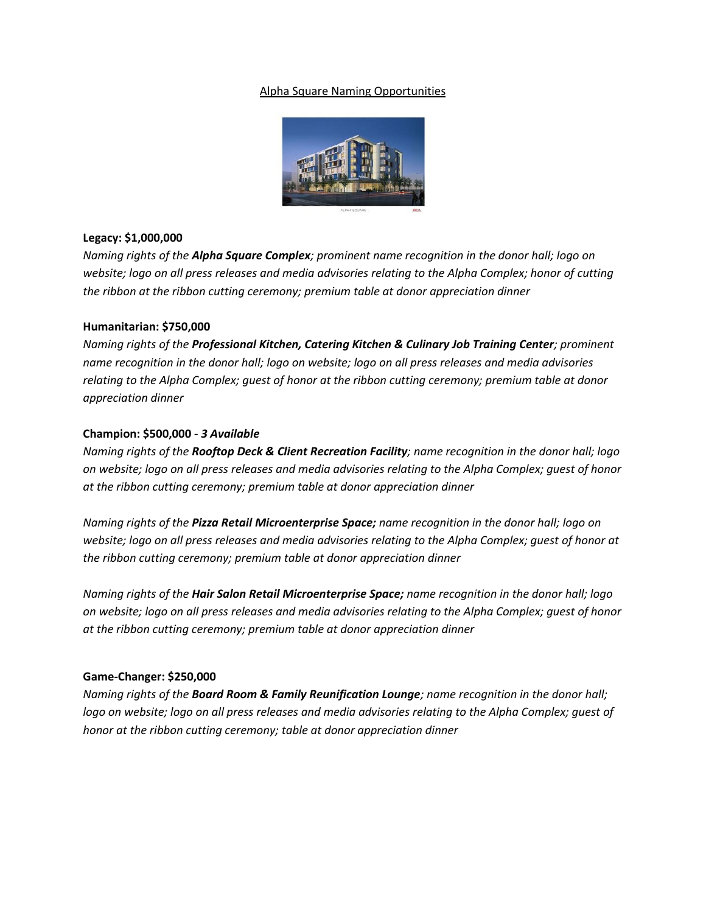## Alpha Square Naming Opportunities



## **Legacy: \$1,000,000**

*Naming rights of the Alpha Square Complex; prominent name recognition in the donor hall; logo on website; logo on all press releases and media advisories relating to the Alpha Complex; honor of cutting the ribbon at the ribbon cutting ceremony; premium table at donor appreciation dinner*

## **Humanitarian: \$750,000**

*Naming rights of the Professional Kitchen, Catering Kitchen & Culinary Job Training Center; prominent name recognition in the donor hall; logo on website; logo on all press releases and media advisories relating to the Alpha Complex; guest of honor at the ribbon cutting ceremony; premium table at donor appreciation dinner*

# **Champion: \$500,000 -** *3 Available*

*Naming rights of the Rooftop Deck & Client Recreation Facility; name recognition in the donor hall; logo on website; logo on all press releases and media advisories relating to the Alpha Complex; guest of honor at the ribbon cutting ceremony; premium table at donor appreciation dinner*

*Naming rights of the Pizza Retail Microenterprise Space; name recognition in the donor hall; logo on website; logo on all press releases and media advisories relating to the Alpha Complex; guest of honor at the ribbon cutting ceremony; premium table at donor appreciation dinner*

*Naming rights of the Hair Salon Retail Microenterprise Space; name recognition in the donor hall; logo on website; logo on all press releases and media advisories relating to the Alpha Complex; guest of honor at the ribbon cutting ceremony; premium table at donor appreciation dinner*

#### **Game-Changer: \$250,000**

*Naming rights of the Board Room & Family Reunification Lounge; name recognition in the donor hall; logo on website; logo on all press releases and media advisories relating to the Alpha Complex; guest of honor at the ribbon cutting ceremony; table at donor appreciation dinner*